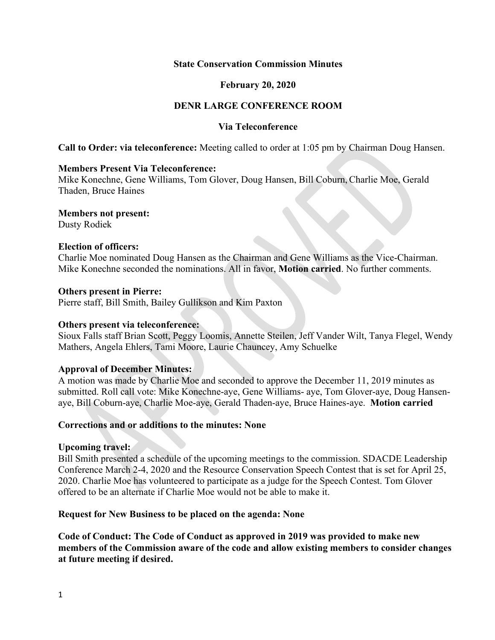### **State Conservation Commission Minutes**

## **February 20, 2020**

# **DENR LARGE CONFERENCE ROOM**

## **Via Teleconference**

**Call to Order: via teleconference:** Meeting called to order at 1:05 pm by Chairman Doug Hansen.

### **Members Present Via Teleconference:**

Mike Konechne, Gene Williams, Tom Glover, Doug Hansen, Bill Coburn, Charlie Moe, Gerald Thaden, Bruce Haines

### **Members not present:**

Dusty Rodiek

### **Election of officers:**

Charlie Moe nominated Doug Hansen as the Chairman and Gene Williams as the Vice-Chairman. Mike Konechne seconded the nominations. All in favor, **Motion carried**. No further comments.

### **Others present in Pierre:**

Pierre staff, Bill Smith, Bailey Gullikson and Kim Paxton

#### **Others present via teleconference:**

Sioux Falls staff Brian Scott, Peggy Loomis, Annette Steilen, Jeff Vander Wilt, Tanya Flegel, Wendy Mathers, Angela Ehlers, Tami Moore, Laurie Chauncey, Amy Schuelke

### **Approval of December Minutes:**

A motion was made by Charlie Moe and seconded to approve the December 11, 2019 minutes as submitted. Roll call vote: Mike Konechne-aye, Gene Williams- aye, Tom Glover-aye, Doug Hansenaye, Bill Coburn-aye, Charlie Moe-aye, Gerald Thaden-aye, Bruce Haines-aye. **Motion carried**

### **Corrections and or additions to the minutes: None**

### **Upcoming travel:**

Bill Smith presented a schedule of the upcoming meetings to the commission. SDACDE Leadership Conference March 2-4, 2020 and the Resource Conservation Speech Contest that is set for April 25, 2020. Charlie Moe has volunteered to participate as a judge for the Speech Contest. Tom Glover offered to be an alternate if Charlie Moe would not be able to make it.

### **Request for New Business to be placed on the agenda: None**

**Code of Conduct: The Code of Conduct as approved in 2019 was provided to make new members of the Commission aware of the code and allow existing members to consider changes at future meeting if desired.**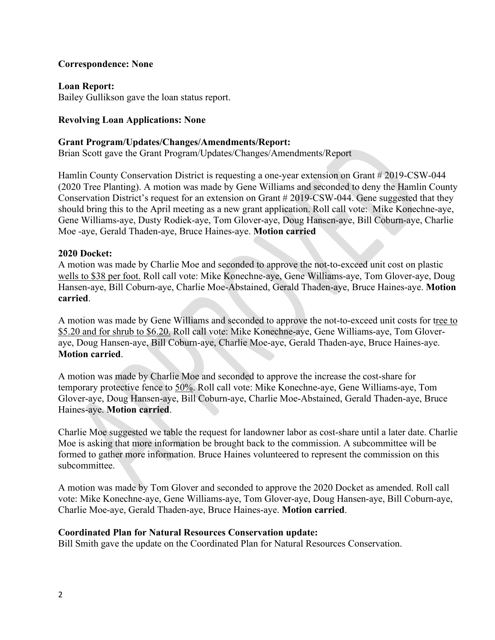## **Correspondence: None**

**Loan Report:** Bailey Gullikson gave the loan status report.

# **Revolving Loan Applications: None**

#### **Grant Program/Updates/Changes/Amendments/Report:**

Brian Scott gave the Grant Program/Updates/Changes/Amendments/Report

Hamlin County Conservation District is requesting a one-year extension on Grant # 2019-CSW-044 (2020 Tree Planting). A motion was made by Gene Williams and seconded to deny the Hamlin County Conservation District's request for an extension on Grant # 2019-CSW-044. Gene suggested that they should bring this to the April meeting as a new grant application. Roll call vote: Mike Konechne-aye, Gene Williams-aye, Dusty Rodiek-aye, Tom Glover-aye, Doug Hansen-aye, Bill Coburn-aye, Charlie Moe -aye, Gerald Thaden-aye, Bruce Haines-aye. **Motion carried**

#### **2020 Docket:**

A motion was made by Charlie Moe and seconded to approve the not-to-exceed unit cost on plastic wells to \$38 per foot. Roll call vote: Mike Konechne-aye, Gene Williams-aye, Tom Glover-aye, Doug Hansen-aye, Bill Coburn-aye, Charlie Moe-Abstained, Gerald Thaden-aye, Bruce Haines-aye. **Motion carried**.

A motion was made by Gene Williams and seconded to approve the not-to-exceed unit costs for tree to \$5.20 and for shrub to \$6.20. Roll call vote: Mike Konechne-aye, Gene Williams-aye, Tom Gloveraye, Doug Hansen-aye, Bill Coburn-aye, Charlie Moe-aye, Gerald Thaden-aye, Bruce Haines-aye. **Motion carried**.

A motion was made by Charlie Moe and seconded to approve the increase the cost-share for temporary protective fence to 50%. Roll call vote: Mike Konechne-aye, Gene Williams-aye, Tom Glover-aye, Doug Hansen-aye, Bill Coburn-aye, Charlie Moe-Abstained, Gerald Thaden-aye, Bruce Haines-aye. **Motion carried**.

Charlie Moe suggested we table the request for landowner labor as cost-share until a later date. Charlie Moe is asking that more information be brought back to the commission. A subcommittee will be formed to gather more information. Bruce Haines volunteered to represent the commission on this subcommittee.

A motion was made by Tom Glover and seconded to approve the 2020 Docket as amended. Roll call vote: Mike Konechne-aye, Gene Williams-aye, Tom Glover-aye, Doug Hansen-aye, Bill Coburn-aye, Charlie Moe-aye, Gerald Thaden-aye, Bruce Haines-aye. **Motion carried**.

#### **Coordinated Plan for Natural Resources Conservation update:**

Bill Smith gave the update on the Coordinated Plan for Natural Resources Conservation.